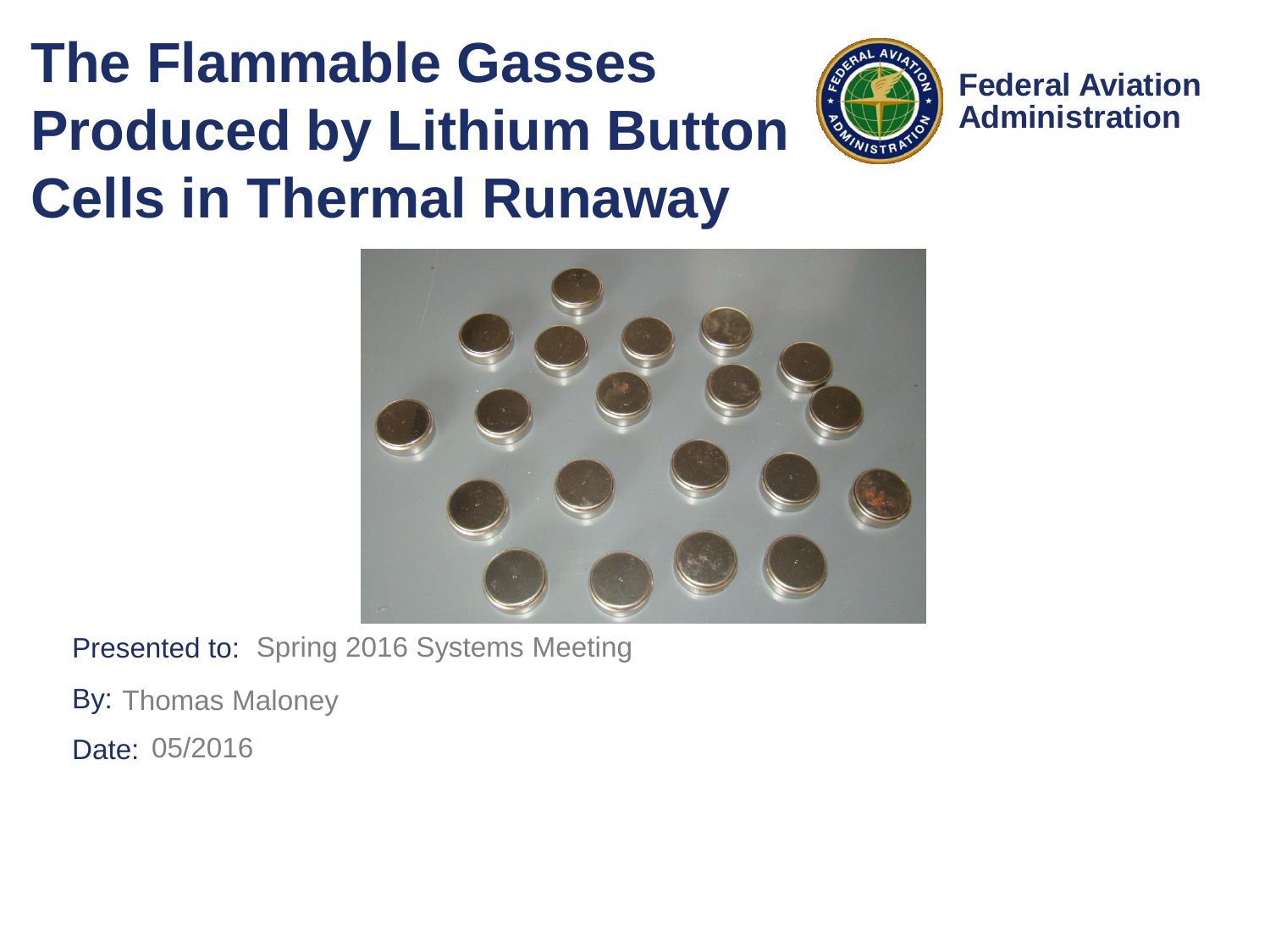#### **The Flammable Gasses Produced by Lithium Button Cells in Thermal Runaway**



**Federal Aviation Administration**



Presented to: Spring 2016 Systems Meeting

By: Thomas Maloney

Date: 05/2016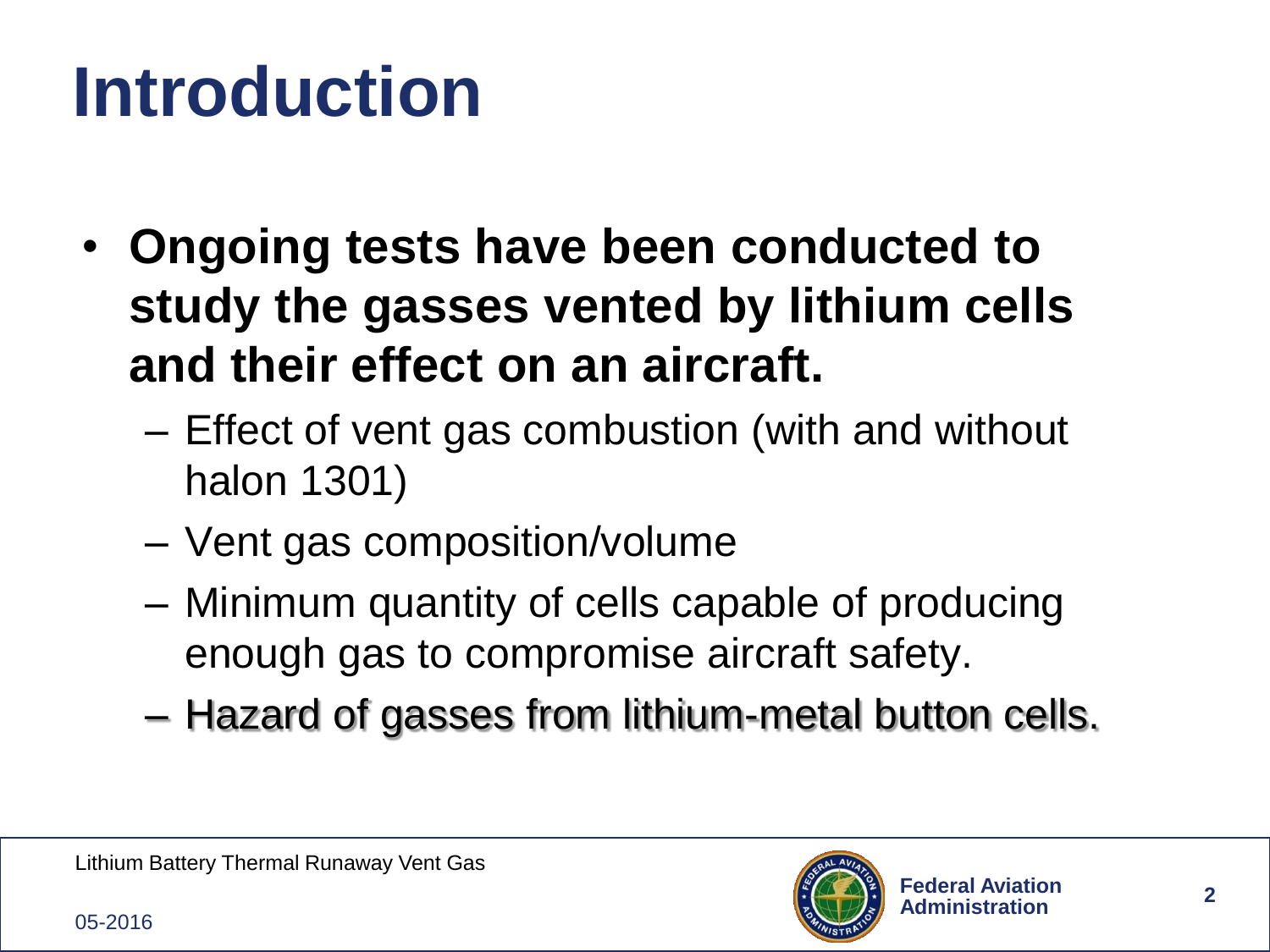### **Introduction**

- **Ongoing tests have been conducted to study the gasses vented by lithium cells and their effect on an aircraft.**
	- Effect of vent gas combustion (with and without halon 1301)
	- Vent gas composition/volume
	- Minimum quantity of cells capable of producing enough gas to compromise aircraft safety.
	- Hazard of gasses from lithium-metal button cells.

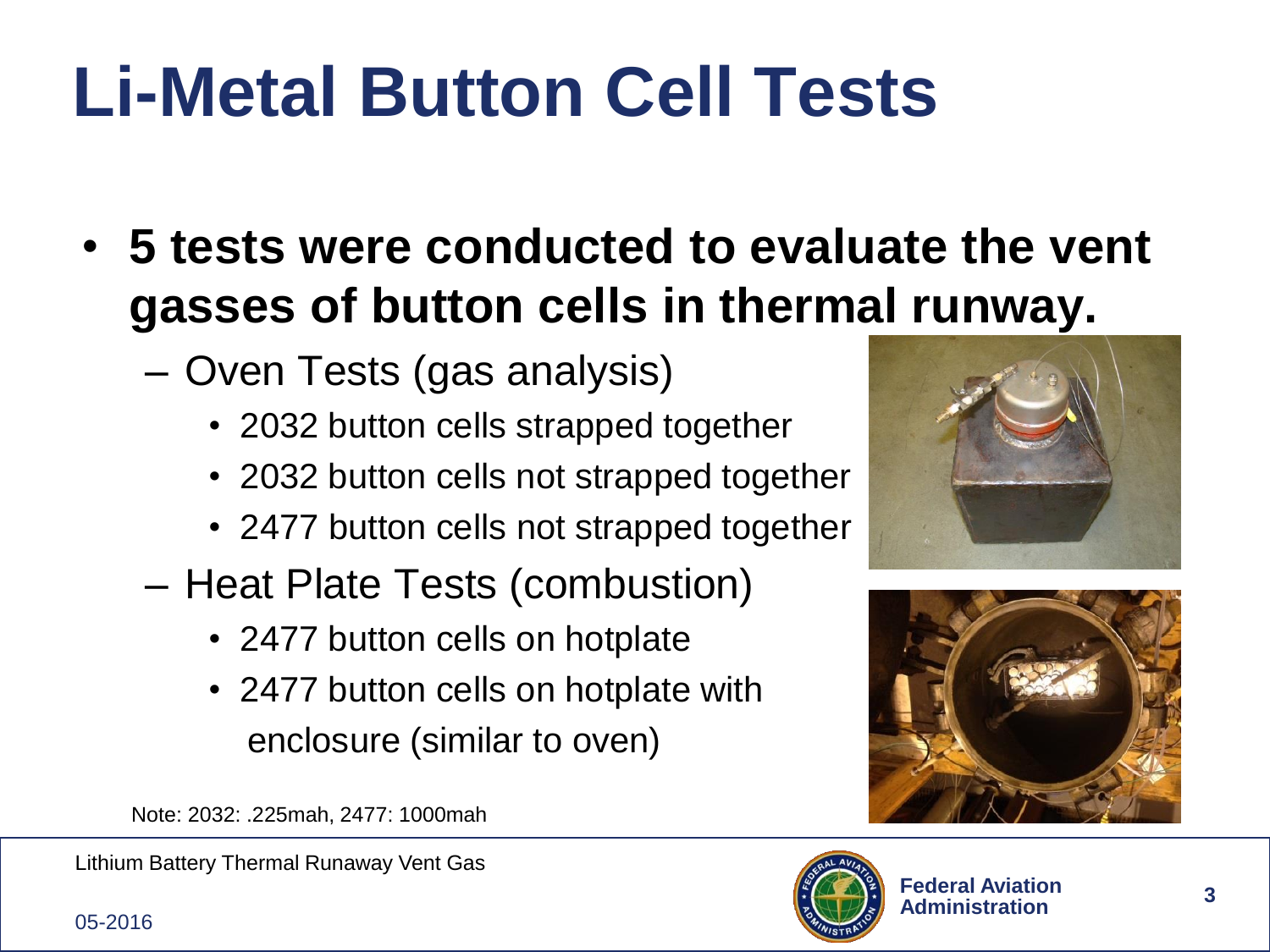### **Li-Metal Button Cell Tests**

- **5 tests were conducted to evaluate the vent gasses of button cells in thermal runway.**
	- Oven Tests (gas analysis)
		- 2032 button cells strapped together
		- 2032 button cells not strapped together
		- 2477 button cells not strapped together
	- Heat Plate Tests (combustion)
		- 2477 button cells on hotplate
		- 2477 button cells on hotplate with enclosure (similar to oven)





Note: 2032: .225mah, 2477: 1000mah

Lithium Battery Thermal Runaway Vent Gas



05-2016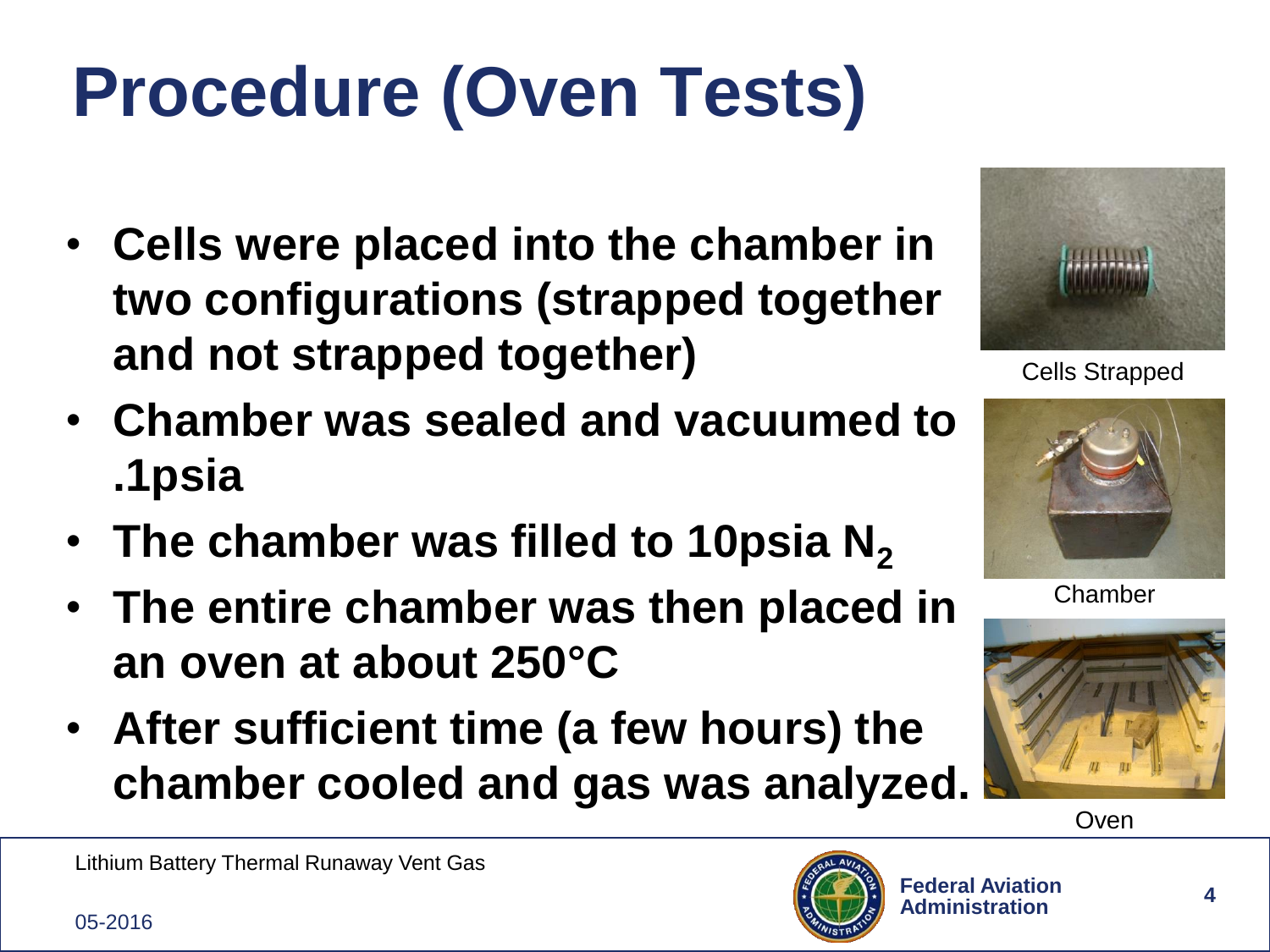# **Procedure (Oven Tests)**

- **Cells were placed into the chamber in two configurations (strapped together and not strapped together)**
- **Chamber was sealed and vacuumed to .1psia**
- **The chamber was filled to 10psia N<sup>2</sup>**
- **The entire chamber was then placed in an oven at about 250°C**
- **After sufficient time (a few hours) the chamber cooled and gas was analyzed.**



Cells Strapped



Chamber





Lithium Battery Thermal Runaway Vent Gas

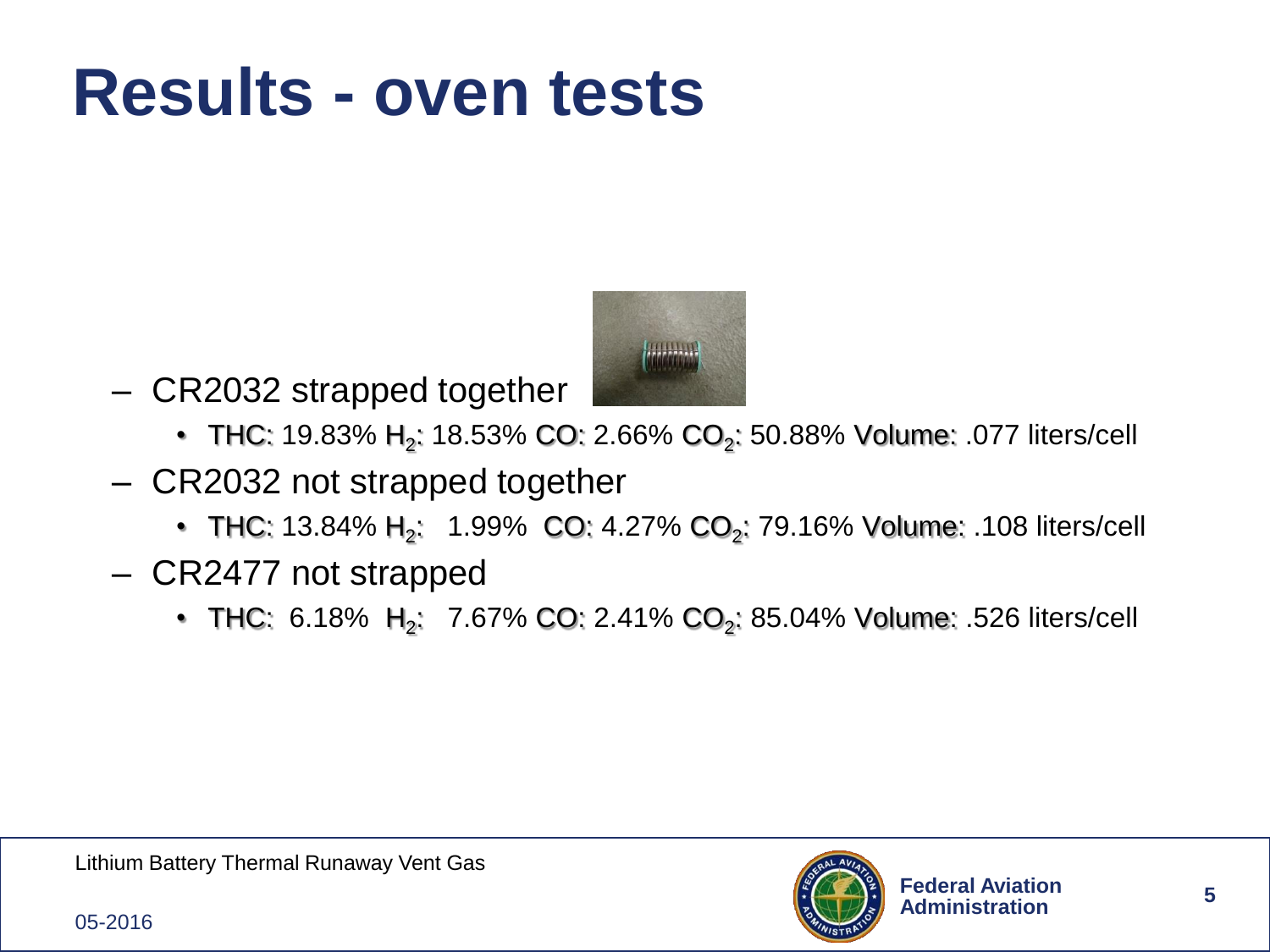#### **Results - oven tests**



- CR2032 strapped together
	- THC: 19.83% H<sub>2</sub>: 18.53% CO: 2.66% CO<sub>2</sub>: 50.88% Volume: .077 liters/cell
- CR2032 not strapped together
	- THC: 13.84% H<sub>2</sub>: 1.99% CO: 4.27% CO<sub>2</sub>: 79.16% Volume: .108 liters/cell
- CR2477 not strapped
	- THC: 6.18% H<sub>2</sub>: 7.67% CO: 2.41% CO<sub>2</sub>: 85.04% Volume: .526 liters/cell

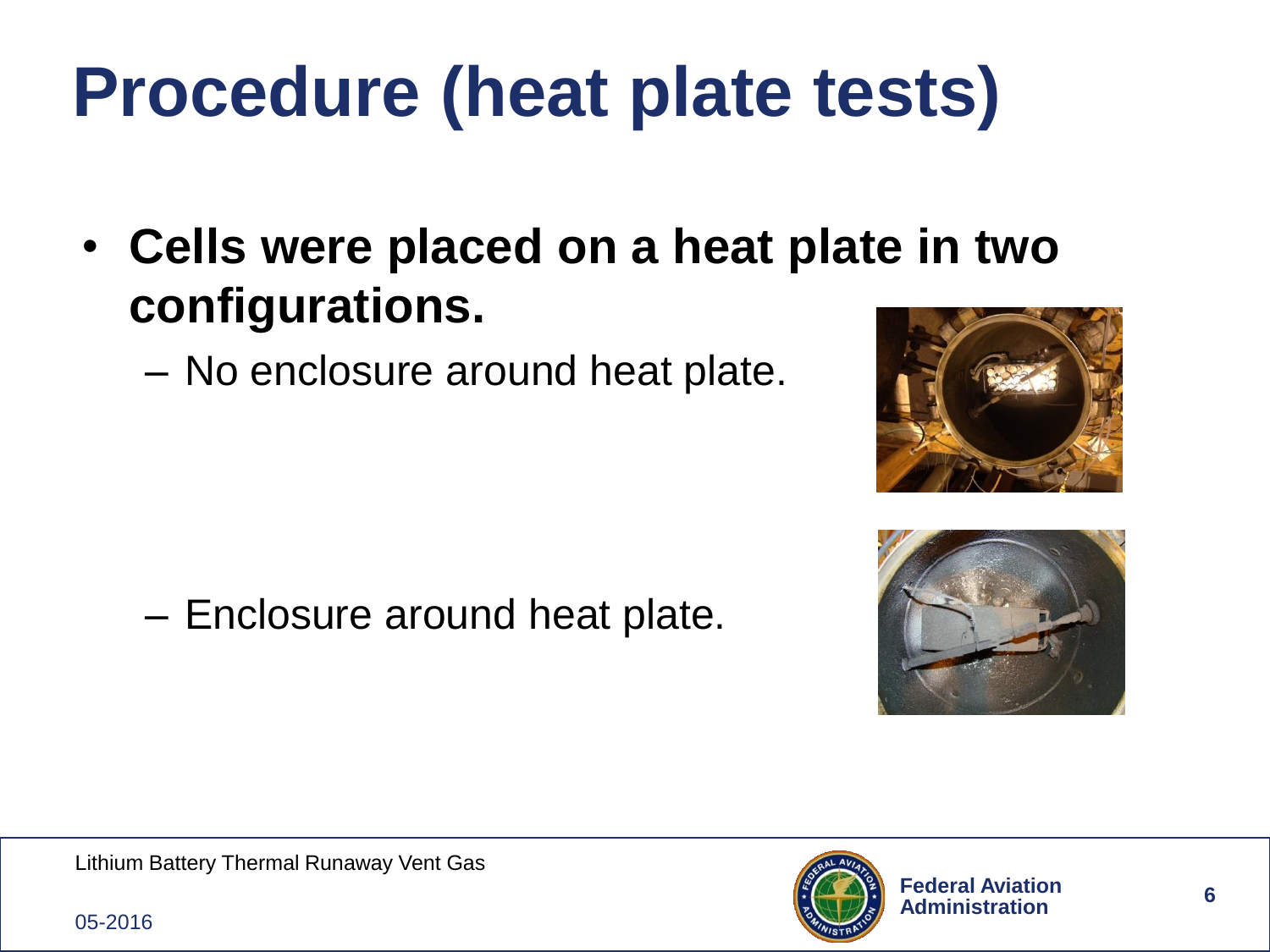## **Procedure (heat plate tests)**

- **Cells were placed on a heat plate in two configurations.**
	- No enclosure around heat plate.





– Enclosure around heat plate.

Lithium Battery Thermal Runaway Vent Gas



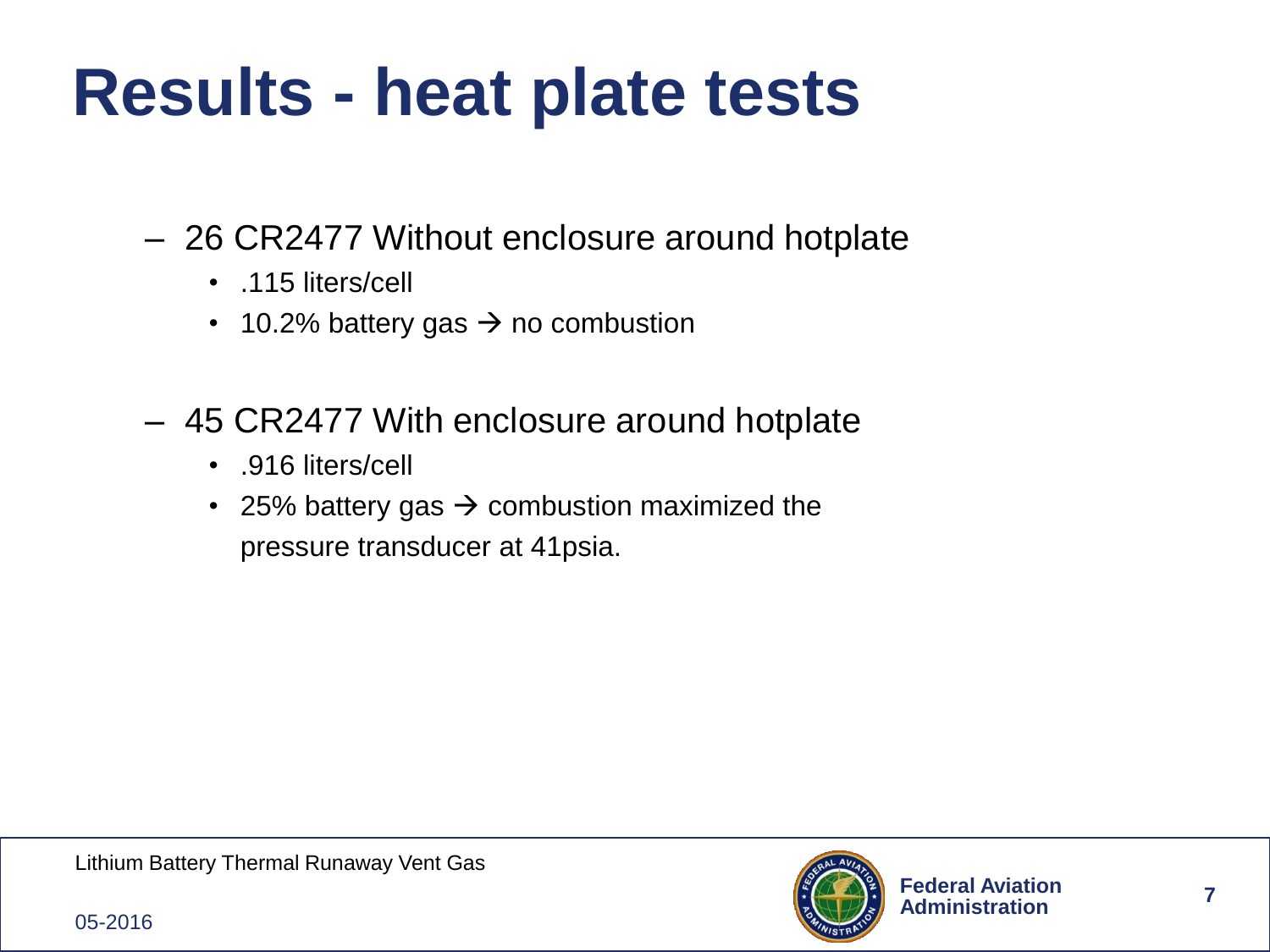### **Results - heat plate tests**

- 26 CR2477 Without enclosure around hotplate
	- .115 liters/cell
	- 10.2% battery gas  $\rightarrow$  no combustion
- 45 CR2477 With enclosure around hotplate
	- .916 liters/cell
	- 25% battery gas  $\rightarrow$  combustion maximized the pressure transducer at 41psia.

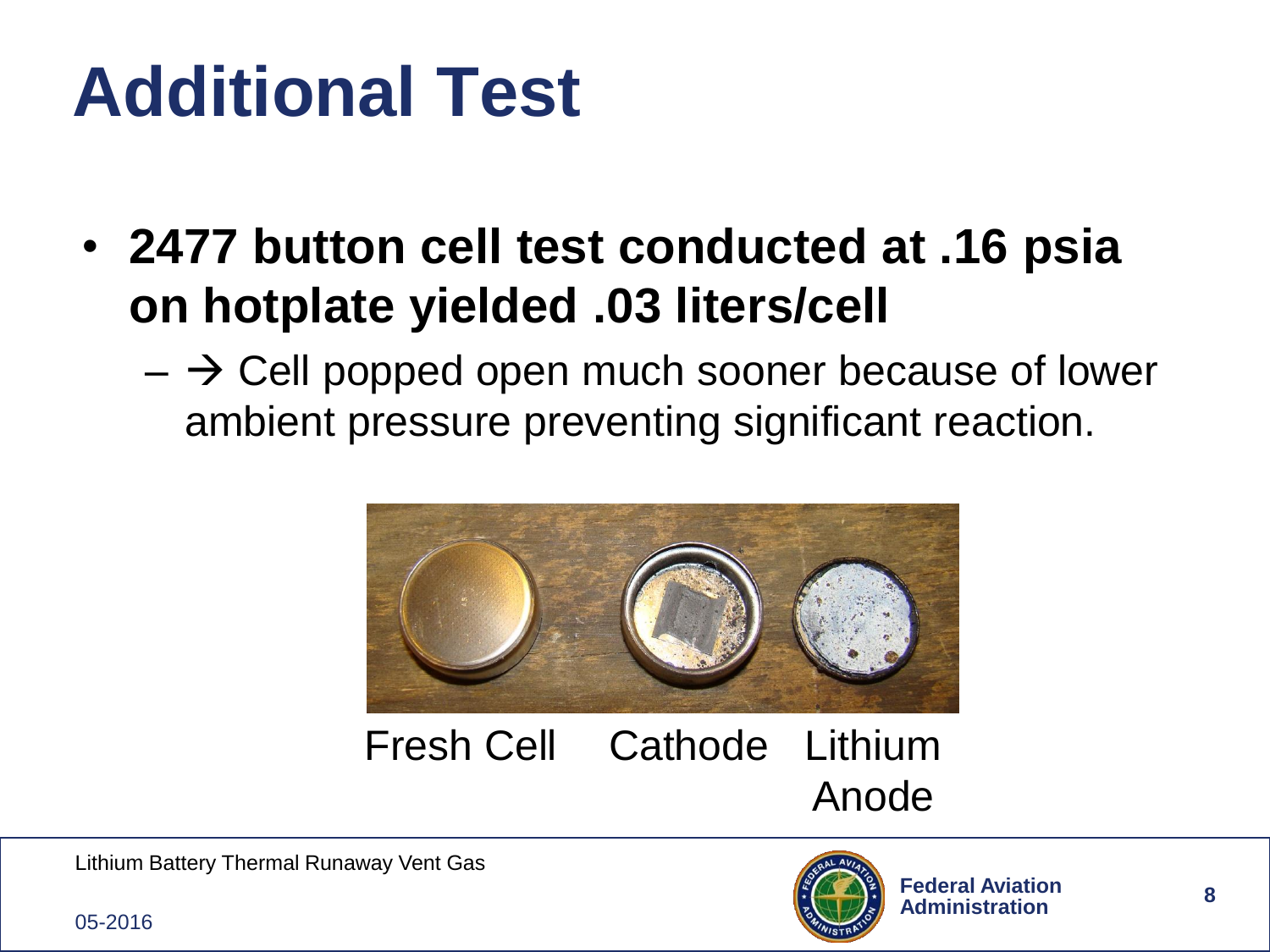### **Additional Test**

- **2477 button cell test conducted at .16 psia on hotplate yielded .03 liters/cell**
	- $-\rightarrow$  Cell popped open much sooner because of lower ambient pressure preventing significant reaction.



Fresh Cell Cathode Lithium Anode **Cathode** 

Lithium Battery Thermal Runaway Vent Gas



05-2016